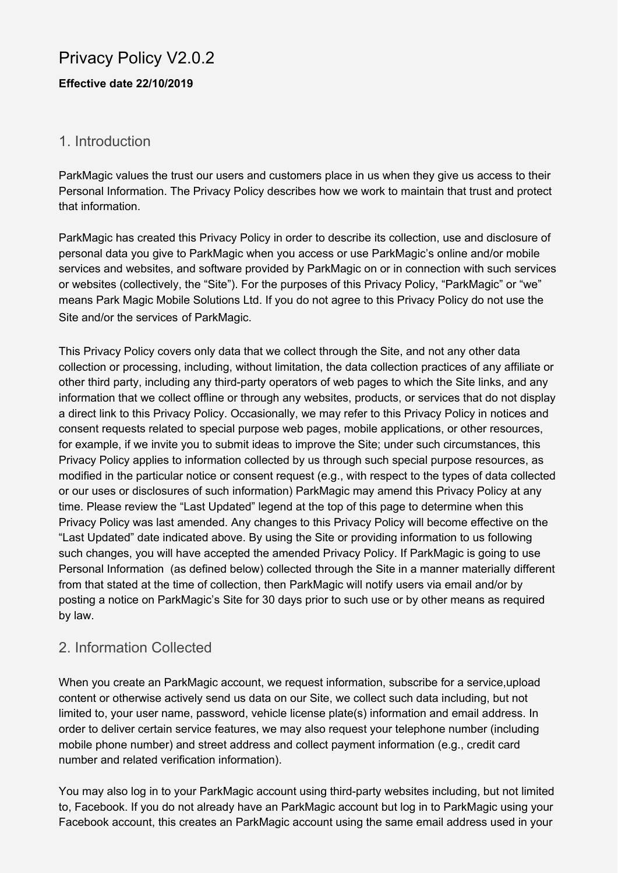## Privacy Policy V2.0.2

#### **Effective date 22/10/2019**

#### 1. Introduction

ParkMagic values the trust our users and customers place in us when they give us access to their Personal Information. The Privacy Policy describes how we work to maintain that trust and protect that information.

ParkMagic has created this Privacy Policy in order to describe its collection, use and disclosure of personal data you give to ParkMagic when you access or use ParkMagic's online and/or mobile services and websites, and software provided by ParkMagic on or in connection with such services or websites (collectively, the "Site"). For the purposes of this Privacy Policy, "ParkMagic" or "we" means Park Magic Mobile Solutions Ltd. If you do not agree to this Privacy Policy do not use the Site and/or the services of ParkMagic.

This Privacy Policy covers only data that we collect through the Site, and not any other data collection or processing, including, without limitation, the data collection practices of any affiliate or other third party, including any third-party operators of web pages to which the Site links, and any information that we collect offline or through any websites, products, or services that do not display a direct link to this Privacy Policy. Occasionally, we may refer to this Privacy Policy in notices and consent requests related to special purpose web pages, mobile applications, or other resources, for example, if we invite you to submit ideas to improve the Site; under such circumstances, this Privacy Policy applies to information collected by us through such special purpose resources, as modified in the particular notice or consent request (e.g., with respect to the types of data collected or our uses or disclosures of such information) ParkMagic may amend this Privacy Policy at any time. Please review the "Last Updated" legend at the top of this page to determine when this Privacy Policy was last amended. Any changes to this Privacy Policy will become effective on the "Last Updated" date indicated above. By using the Site or providing information to us following such changes, you will have accepted the amended Privacy Policy. If ParkMagic is going to use Personal Information (as defined below) collected through the Site in a manner materially different from that stated at the time of collection, then ParkMagic will notify users via email and/or by posting a notice on ParkMagic's Site for 30 days prior to such use or by other means as required by law.

### 2. Information Collected

When you create an ParkMagic account, we request information, subscribe for a service,upload content or otherwise actively send us data on our Site, we collect such data including, but not limited to, your user name, password, vehicle license plate(s) information and email address. In order to deliver certain service features, we may also request your telephone number (including mobile phone number) and street address and collect payment information (e.g., credit card number and related verification information).

You may also log in to your ParkMagic account using third-party websites including, but not limited to, Facebook. If you do not already have an ParkMagic account but log in to ParkMagic using your Facebook account, this creates an ParkMagic account using the same email address used in your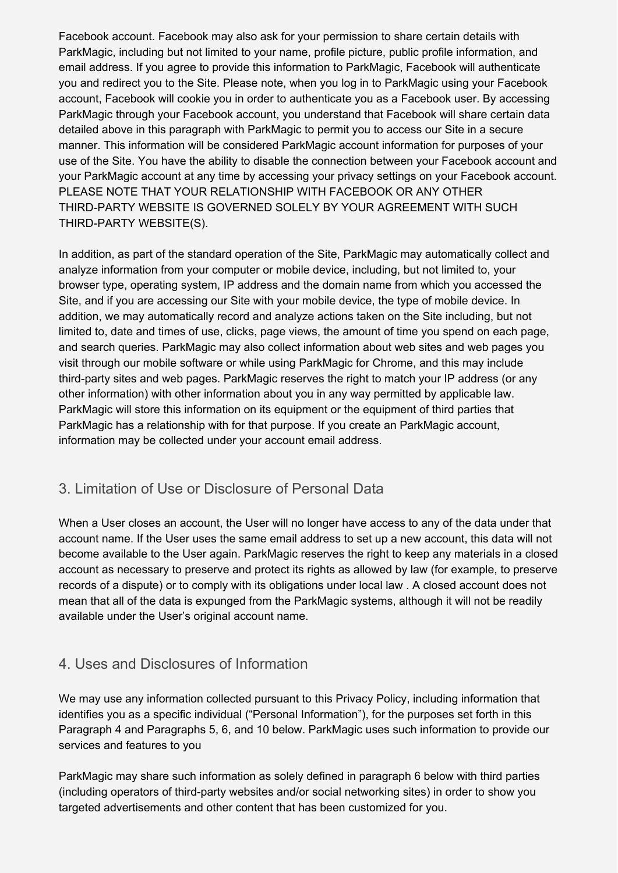Facebook account. Facebook may also ask for your permission to share certain details with ParkMagic, including but not limited to your name, profile picture, public profile information, and email address. If you agree to provide this information to ParkMagic, Facebook will authenticate you and redirect you to the Site. Please note, when you log in to ParkMagic using your Facebook account, Facebook will cookie you in order to authenticate you as a Facebook user. By accessing ParkMagic through your Facebook account, you understand that Facebook will share certain data detailed above in this paragraph with ParkMagic to permit you to access our Site in a secure manner. This information will be considered ParkMagic account information for purposes of your use of the Site. You have the ability to disable the connection between your Facebook account and your ParkMagic account at any time by accessing your privacy settings on your Facebook account. PLEASE NOTE THAT YOUR RELATIONSHIP WITH FACEBOOK OR ANY OTHER THIRD-PARTY WEBSITE IS GOVERNED SOLELY BY YOUR AGREEMENT WITH SUCH THIRD-PARTY WEBSITE(S).

In addition, as part of the standard operation of the Site, ParkMagic may automatically collect and analyze information from your computer or mobile device, including, but not limited to, your browser type, operating system, IP address and the domain name from which you accessed the Site, and if you are accessing our Site with your mobile device, the type of mobile device. In addition, we may automatically record and analyze actions taken on the Site including, but not limited to, date and times of use, clicks, page views, the amount of time you spend on each page, and search queries. ParkMagic may also collect information about web sites and web pages you visit through our mobile software or while using ParkMagic for Chrome, and this may include third-party sites and web pages. ParkMagic reserves the right to match your IP address (or any other information) with other information about you in any way permitted by applicable law. ParkMagic will store this information on its equipment or the equipment of third parties that ParkMagic has a relationship with for that purpose. If you create an ParkMagic account, information may be collected under your account email address.

### 3. Limitation of Use or Disclosure of Personal Data

When a User closes an account, the User will no longer have access to any of the data under that account name. If the User uses the same email address to set up a new account, this data will not become available to the User again. ParkMagic reserves the right to keep any materials in a closed account as necessary to preserve and protect its rights as allowed by law (for example, to preserve records of a dispute) or to comply with its obligations under local law . A closed account does not mean that all of the data is expunged from the ParkMagic systems, although it will not be readily available under the User's original account name.

### 4. Uses and Disclosures of Information

We may use any information collected pursuant to this Privacy Policy, including information that identifies you as a specific individual ("Personal Information"), for the purposes set forth in this Paragraph 4 and Paragraphs 5, 6, and 10 below. ParkMagic uses such information to provide our services and features to you

ParkMagic may share such information as solely defined in paragraph 6 below with third parties (including operators of third-party websites and/or social networking sites) in order to show you targeted advertisements and other content that has been customized for you.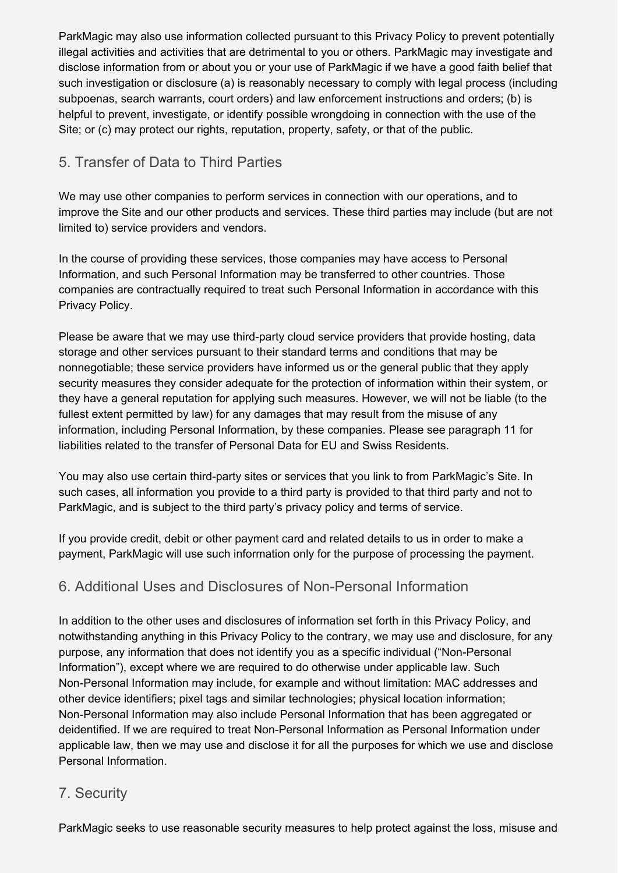ParkMagic may also use information collected pursuant to this Privacy Policy to prevent potentially illegal activities and activities that are detrimental to you or others. ParkMagic may investigate and disclose information from or about you or your use of ParkMagic if we have a good faith belief that such investigation or disclosure (a) is reasonably necessary to comply with legal process (including subpoenas, search warrants, court orders) and law enforcement instructions and orders; (b) is helpful to prevent, investigate, or identify possible wrongdoing in connection with the use of the Site; or (c) may protect our rights, reputation, property, safety, or that of the public.

## 5. Transfer of Data to Third Parties

We may use other companies to perform services in connection with our operations, and to improve the Site and our other products and services. These third parties may include (but are not limited to) service providers and vendors.

In the course of providing these services, those companies may have access to Personal Information, and such Personal Information may be transferred to other countries. Those companies are contractually required to treat such Personal Information in accordance with this Privacy Policy.

Please be aware that we may use third-party cloud service providers that provide hosting, data storage and other services pursuant to their standard terms and conditions that may be nonnegotiable; these service providers have informed us or the general public that they apply security measures they consider adequate for the protection of information within their system, or they have a general reputation for applying such measures. However, we will not be liable (to the fullest extent permitted by law) for any damages that may result from the misuse of any information, including Personal Information, by these companies. Please see paragraph 11 for liabilities related to the transfer of Personal Data for EU and Swiss Residents.

You may also use certain third-party sites or services that you link to from ParkMagic's Site. In such cases, all information you provide to a third party is provided to that third party and not to ParkMagic, and is subject to the third party's privacy policy and terms of service.

If you provide credit, debit or other payment card and related details to us in order to make a payment, ParkMagic will use such information only for the purpose of processing the payment.

### 6. Additional Uses and Disclosures of Non-Personal Information

In addition to the other uses and disclosures of information set forth in this Privacy Policy, and notwithstanding anything in this Privacy Policy to the contrary, we may use and disclosure, for any purpose, any information that does not identify you as a specific individual ("Non-Personal Information"), except where we are required to do otherwise under applicable law. Such Non-Personal Information may include, for example and without limitation: MAC addresses and other device identifiers; pixel tags and similar technologies; physical location information; Non-Personal Information may also include Personal Information that has been aggregated or deidentified. If we are required to treat Non-Personal Information as Personal Information under applicable law, then we may use and disclose it for all the purposes for which we use and disclose Personal Information.

#### 7. Security

ParkMagic seeks to use reasonable security measures to help protect against the loss, misuse and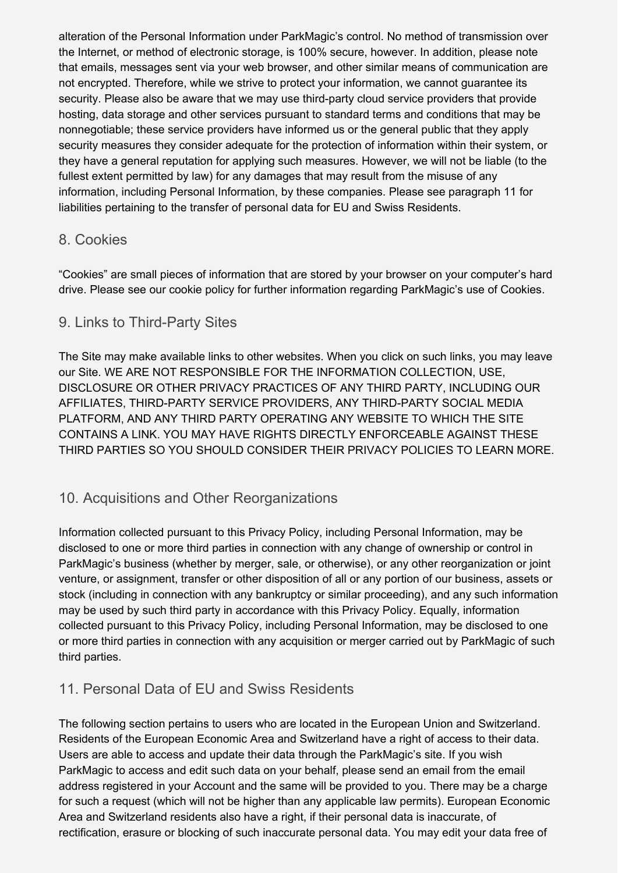alteration of the Personal Information under ParkMagic's control. No method of transmission over the Internet, or method of electronic storage, is 100% secure, however. In addition, please note that emails, messages sent via your web browser, and other similar means of communication are not encrypted. Therefore, while we strive to protect your information, we cannot guarantee its security. Please also be aware that we may use third-party cloud service providers that provide hosting, data storage and other services pursuant to standard terms and conditions that may be nonnegotiable; these service providers have informed us or the general public that they apply security measures they consider adequate for the protection of information within their system, or they have a general reputation for applying such measures. However, we will not be liable (to the fullest extent permitted by law) for any damages that may result from the misuse of any information, including Personal Information, by these companies. Please see paragraph 11 for liabilities pertaining to the transfer of personal data for EU and Swiss Residents.

#### 8. Cookies

"Cookies" are small pieces of information that are stored by your browser on your computer's hard drive. Please see our cookie policy for further information regarding ParkMagic's use of Cookies.

#### 9. Links to Third-Party Sites

The Site may make available links to other websites. When you click on such links, you may leave our Site. WE ARE NOT RESPONSIBLE FOR THE INFORMATION COLLECTION, USE, DISCLOSURE OR OTHER PRIVACY PRACTICES OF ANY THIRD PARTY, INCLUDING OUR AFFILIATES, THIRD-PARTY SERVICE PROVIDERS, ANY THIRD-PARTY SOCIAL MEDIA PLATFORM, AND ANY THIRD PARTY OPERATING ANY WEBSITE TO WHICH THE SITE CONTAINS A LINK. YOU MAY HAVE RIGHTS DIRECTLY ENFORCEABLE AGAINST THESE THIRD PARTIES SO YOU SHOULD CONSIDER THEIR PRIVACY POLICIES TO LEARN MORE.

#### 10. Acquisitions and Other Reorganizations

Information collected pursuant to this Privacy Policy, including Personal Information, may be disclosed to one or more third parties in connection with any change of ownership or control in ParkMagic's business (whether by merger, sale, or otherwise), or any other reorganization or joint venture, or assignment, transfer or other disposition of all or any portion of our business, assets or stock (including in connection with any bankruptcy or similar proceeding), and any such information may be used by such third party in accordance with this Privacy Policy. Equally, information collected pursuant to this Privacy Policy, including Personal Information, may be disclosed to one or more third parties in connection with any acquisition or merger carried out by ParkMagic of such third parties.

### 11. Personal Data of EU and Swiss Residents

The following section pertains to users who are located in the European Union and Switzerland. Residents of the European Economic Area and Switzerland have a right of access to their data. Users are able to access and update their data through the ParkMagic's site. If you wish ParkMagic to access and edit such data on your behalf, please send an email from the email address registered in your Account and the same will be provided to you. There may be a charge for such a request (which will not be higher than any applicable law permits). European Economic Area and Switzerland residents also have a right, if their personal data is inaccurate, of rectification, erasure or blocking of such inaccurate personal data. You may edit your data free of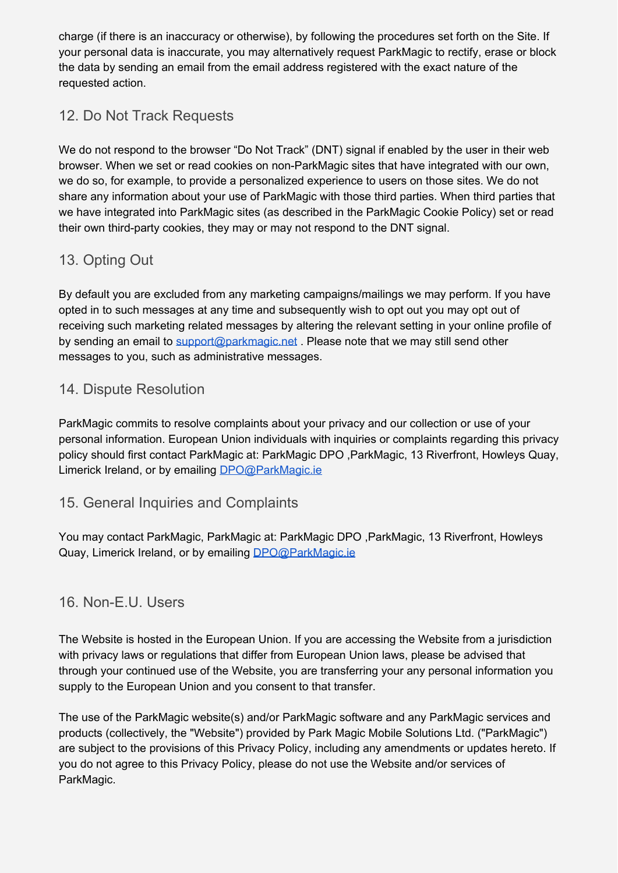charge (if there is an inaccuracy or otherwise), by following the procedures set forth on the Site. If your personal data is inaccurate, you may alternatively request ParkMagic to rectify, erase or block the data by sending an email from the email address registered with the exact nature of the requested action.

## 12. Do Not Track Requests

We do not respond to the browser "Do Not Track" (DNT) signal if enabled by the user in their web browser. When we set or read cookies on non-ParkMagic sites that have integrated with our own, we do so, for example, to provide a personalized experience to users on those sites. We do not share any information about your use of ParkMagic with those third parties. When third parties that we have integrated into ParkMagic sites (as described in the ParkMagic Cookie Policy) set or read their own third-party cookies, they may or may not respond to the DNT signal.

## 13. Opting Out

By default you are excluded from any marketing campaigns/mailings we may perform. If you have opted in to such messages at any time and subsequently wish to opt out you may opt out of receiving such marketing related messages by altering the relevant setting in your online profile of by sending an email to [support@parkmagic.net](mailto:support@parkmagic.net). Please note that we may still send other messages to you, such as administrative messages.

#### 14. Dispute Resolution

ParkMagic commits to resolve complaints about your privacy and our collection or use of your personal information. European Union individuals with inquiries or complaints regarding this privacy policy should first contact ParkMagic at: ParkMagic DPO ,ParkMagic, 13 Riverfront, Howleys Quay, Limerick Ireland, or by emailing [DPO@ParkMagic.ie](mailto:DPO@ParkMagic.ie)

#### 15. General Inquiries and Complaints

You may contact ParkMagic, ParkMagic at: ParkMagic DPO ,ParkMagic, 13 Riverfront, Howleys Quay, Limerick Ireland, or by emailing [DPO@ParkMagic.ie](mailto:DPO@ParkMagic.ie)

### 16. Non-E.U. Users

The Website is hosted in the European Union. If you are accessing the Website from a jurisdiction with privacy laws or regulations that differ from European Union laws, please be advised that through your continued use of the Website, you are transferring your any personal information you supply to the European Union and you consent to that transfer.

The use of the ParkMagic website(s) and/or ParkMagic software and any ParkMagic services and products (collectively, the "Website") provided by Park Magic Mobile Solutions Ltd. ("ParkMagic") are subject to the provisions of this Privacy Policy, including any amendments or updates hereto. If you do not agree to this Privacy Policy, please do not use the Website and/or services of ParkMagic.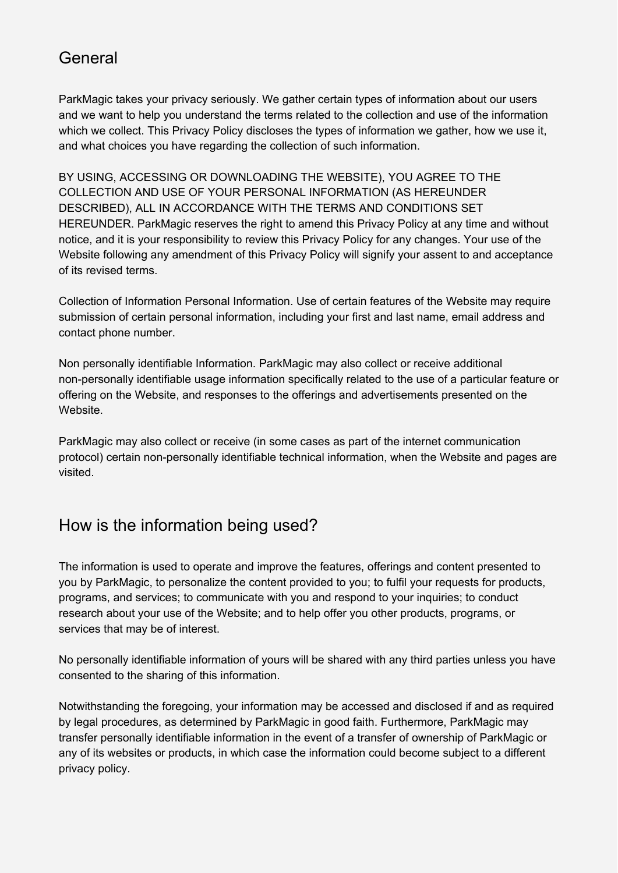## General

ParkMagic takes your privacy seriously. We gather certain types of information about our users and we want to help you understand the terms related to the collection and use of the information which we collect. This Privacy Policy discloses the types of information we gather, how we use it, and what choices you have regarding the collection of such information.

BY USING, ACCESSING OR DOWNLOADING THE WEBSITE), YOU AGREE TO THE COLLECTION AND USE OF YOUR PERSONAL INFORMATION (AS HEREUNDER DESCRIBED), ALL IN ACCORDANCE WITH THE TERMS AND CONDITIONS SET HEREUNDER. ParkMagic reserves the right to amend this Privacy Policy at any time and without notice, and it is your responsibility to review this Privacy Policy for any changes. Your use of the Website following any amendment of this Privacy Policy will signify your assent to and acceptance of its revised terms.

Collection of Information Personal Information. Use of certain features of the Website may require submission of certain personal information, including your first and last name, email address and contact phone number.

Non personally identifiable Information. ParkMagic may also collect or receive additional non-personally identifiable usage information specifically related to the use of a particular feature or offering on the Website, and responses to the offerings and advertisements presented on the **Website** 

ParkMagic may also collect or receive (in some cases as part of the internet communication protocol) certain non-personally identifiable technical information, when the Website and pages are visited.

# How is the information being used?

The information is used to operate and improve the features, offerings and content presented to you by ParkMagic, to personalize the content provided to you; to fulfil your requests for products, programs, and services; to communicate with you and respond to your inquiries; to conduct research about your use of the Website; and to help offer you other products, programs, or services that may be of interest.

No personally identifiable information of yours will be shared with any third parties unless you have consented to the sharing of this information.

Notwithstanding the foregoing, your information may be accessed and disclosed if and as required by legal procedures, as determined by ParkMagic in good faith. Furthermore, ParkMagic may transfer personally identifiable information in the event of a transfer of ownership of ParkMagic or any of its websites or products, in which case the information could become subject to a different privacy policy.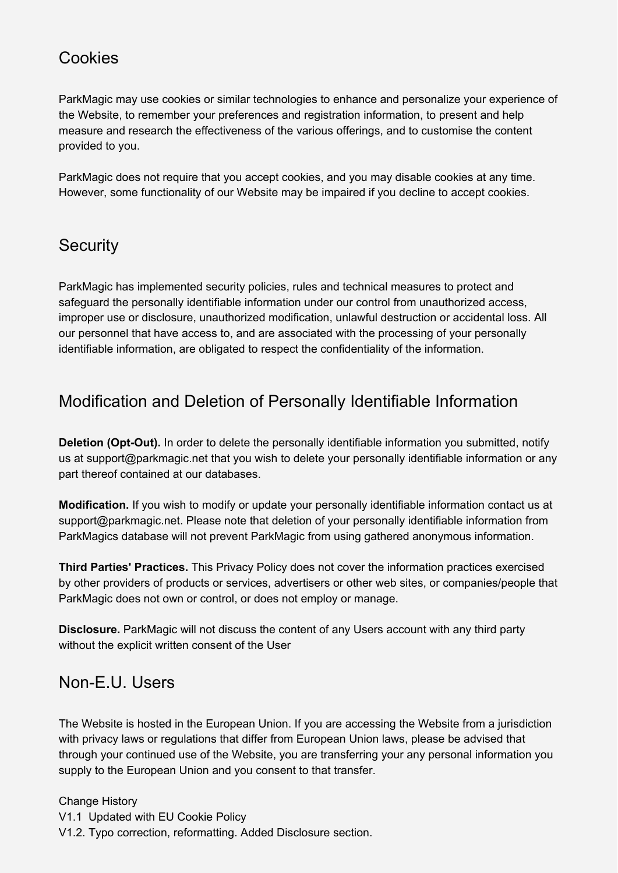# **Cookies**

ParkMagic may use cookies or similar technologies to enhance and personalize your experience of the Website, to remember your preferences and registration information, to present and help measure and research the effectiveness of the various offerings, and to customise the content provided to you.

ParkMagic does not require that you accept cookies, and you may disable cookies at any time. However, some functionality of our Website may be impaired if you decline to accept cookies.

## **Security**

ParkMagic has implemented security policies, rules and technical measures to protect and safeguard the personally identifiable information under our control from unauthorized access, improper use or disclosure, unauthorized modification, unlawful destruction or accidental loss. All our personnel that have access to, and are associated with the processing of your personally identifiable information, are obligated to respect the confidentiality of the information.

# Modification and Deletion of Personally Identifiable Information

**Deletion (Opt-Out).** In order to delete the personally identifiable information you submitted, notify us at support@parkmagic.net that you wish to delete your personally identifiable information or any part thereof contained at our databases.

**Modification.** If you wish to modify or update your personally identifiable information contact us at support@parkmagic.net. Please note that deletion of your personally identifiable information from ParkMagics database will not prevent ParkMagic from using gathered anonymous information.

**Third Parties' Practices.** This Privacy Policy does not cover the information practices exercised by other providers of products or services, advertisers or other web sites, or companies/people that ParkMagic does not own or control, or does not employ or manage.

**Disclosure.** ParkMagic will not discuss the content of any Users account with any third party without the explicit written consent of the User

## Non-E.U. Users

The Website is hosted in the European Union. If you are accessing the Website from a jurisdiction with privacy laws or regulations that differ from European Union laws, please be advised that through your continued use of the Website, you are transferring your any personal information you supply to the European Union and you consent to that transfer.

#### Change History

V1.1 Updated with EU Cookie Policy

V1.2. Typo correction, reformatting. Added Disclosure section.